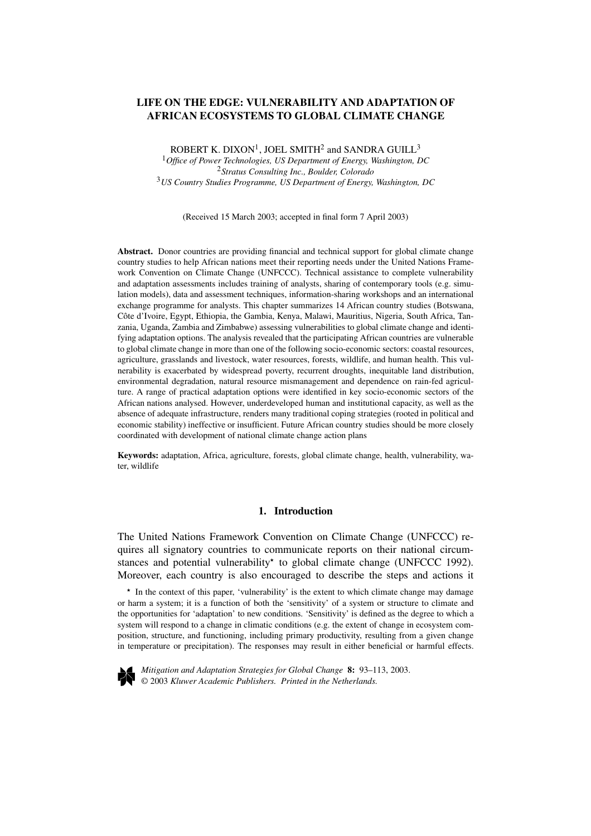# **LIFE ON THE EDGE: VULNERABILITY AND ADAPTATION OF AFRICAN ECOSYSTEMS TO GLOBAL CLIMATE CHANGE**

ROBERT K. DIXON<sup>1</sup>, JOEL SMITH<sup>2</sup> and SANDRA GUILL<sup>3</sup>

<sup>1</sup>*Office of Power Technologies, US Department of Energy, Washington, DC* <sup>2</sup>*Stratus Consulting Inc., Boulder, Colorado* <sup>3</sup>*US Country Studies Programme, US Department of Energy, Washington, DC*

(Received 15 March 2003; accepted in final form 7 April 2003)

**Abstract.** Donor countries are providing financial and technical support for global climate change country studies to help African nations meet their reporting needs under the United Nations Framework Convention on Climate Change (UNFCCC). Technical assistance to complete vulnerability and adaptation assessments includes training of analysts, sharing of contemporary tools (e.g. simulation models), data and assessment techniques, information-sharing workshops and an international exchange programme for analysts. This chapter summarizes 14 African country studies (Botswana, Côte d'Ivoire, Egypt, Ethiopia, the Gambia, Kenya, Malawi, Mauritius, Nigeria, South Africa, Tanzania, Uganda, Zambia and Zimbabwe) assessing vulnerabilities to global climate change and identifying adaptation options. The analysis revealed that the participating African countries are vulnerable to global climate change in more than one of the following socio-economic sectors: coastal resources, agriculture, grasslands and livestock, water resources, forests, wildlife, and human health. This vulnerability is exacerbated by widespread poverty, recurrent droughts, inequitable land distribution, environmental degradation, natural resource mismanagement and dependence on rain-fed agriculture. A range of practical adaptation options were identified in key socio-economic sectors of the African nations analysed. However, underdeveloped human and institutional capacity, as well as the absence of adequate infrastructure, renders many traditional coping strategies (rooted in political and economic stability) ineffective or insufficient. Future African country studies should be more closely coordinated with development of national climate change action plans

**Keywords:** adaptation, Africa, agriculture, forests, global climate change, health, vulnerability, water, wildlife

# **1. Introduction**

The United Nations Framework Convention on Climate Change (UNFCCC) requires all signatory countries to communicate reports on their national circumstances and potential vulnerability<sup>\*</sup> to global climate change (UNFCCC 1992). Moreover, each country is also encouraged to describe the steps and actions it

\* In the context of this paper, 'vulnerability' is the extent to which climate change may damage or harm a system; it is a function of both the 'sensitivity' of a system or structure to climate and the opportunities for 'adaptation' to new conditions. 'Sensitivity' is defined as the degree to which a system will respond to a change in climatic conditions (e.g. the extent of change in ecosystem composition, structure, and functioning, including primary productivity, resulting from a given change in temperature or precipitation). The responses may result in either beneficial or harmful effects.



*Mitigation and Adaptation Strategies for Global Change* **8:** 93–113, 2003. © 2003 *Kluwer Academic Publishers. Printed in the Netherlands.*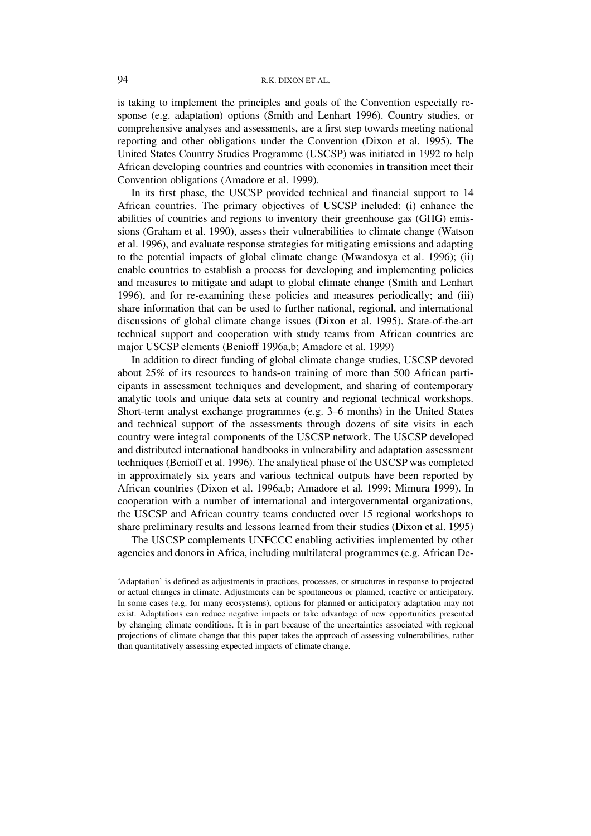is taking to implement the principles and goals of the Convention especially response (e.g. adaptation) options (Smith and Lenhart 1996). Country studies, or comprehensive analyses and assessments, are a first step towards meeting national reporting and other obligations under the Convention (Dixon et al. 1995). The United States Country Studies Programme (USCSP) was initiated in 1992 to help African developing countries and countries with economies in transition meet their Convention obligations (Amadore et al. 1999).

In its first phase, the USCSP provided technical and financial support to 14 African countries. The primary objectives of USCSP included: (i) enhance the abilities of countries and regions to inventory their greenhouse gas (GHG) emissions (Graham et al. 1990), assess their vulnerabilities to climate change (Watson et al. 1996), and evaluate response strategies for mitigating emissions and adapting to the potential impacts of global climate change (Mwandosya et al. 1996); (ii) enable countries to establish a process for developing and implementing policies and measures to mitigate and adapt to global climate change (Smith and Lenhart 1996), and for re-examining these policies and measures periodically; and (iii) share information that can be used to further national, regional, and international discussions of global climate change issues (Dixon et al. 1995). State-of-the-art technical support and cooperation with study teams from African countries are major USCSP elements (Benioff 1996a,b; Amadore et al. 1999)

In addition to direct funding of global climate change studies, USCSP devoted about 25% of its resources to hands-on training of more than 500 African participants in assessment techniques and development, and sharing of contemporary analytic tools and unique data sets at country and regional technical workshops. Short-term analyst exchange programmes (e.g. 3–6 months) in the United States and technical support of the assessments through dozens of site visits in each country were integral components of the USCSP network. The USCSP developed and distributed international handbooks in vulnerability and adaptation assessment techniques (Benioff et al. 1996). The analytical phase of the USCSP was completed in approximately six years and various technical outputs have been reported by African countries (Dixon et al. 1996a,b; Amadore et al. 1999; Mimura 1999). In cooperation with a number of international and intergovernmental organizations, the USCSP and African country teams conducted over 15 regional workshops to share preliminary results and lessons learned from their studies (Dixon et al. 1995)

The USCSP complements UNFCCC enabling activities implemented by other agencies and donors in Africa, including multilateral programmes (e.g. African De-

<sup>&#</sup>x27;Adaptation' is defined as adjustments in practices, processes, or structures in response to projected or actual changes in climate. Adjustments can be spontaneous or planned, reactive or anticipatory. In some cases (e.g. for many ecosystems), options for planned or anticipatory adaptation may not exist. Adaptations can reduce negative impacts or take advantage of new opportunities presented by changing climate conditions. It is in part because of the uncertainties associated with regional projections of climate change that this paper takes the approach of assessing vulnerabilities, rather than quantitatively assessing expected impacts of climate change.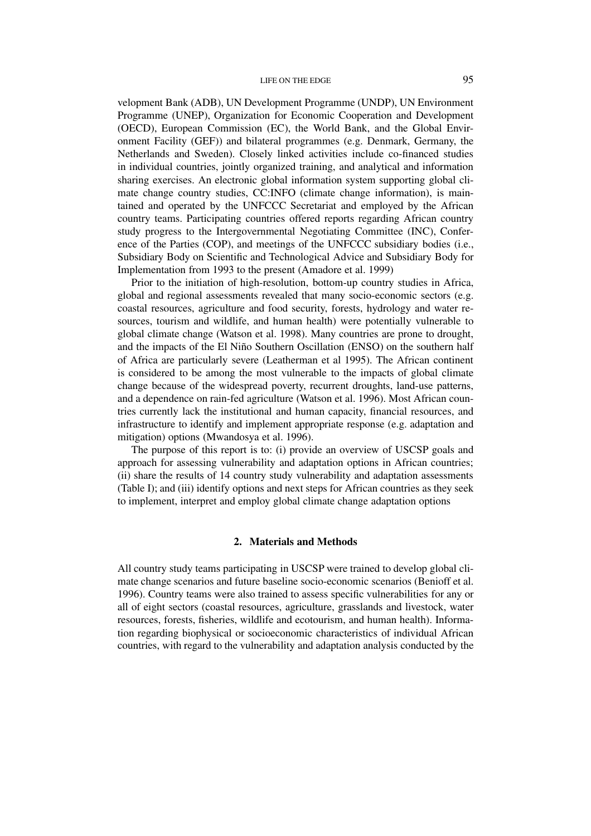velopment Bank (ADB), UN Development Programme (UNDP), UN Environment Programme (UNEP), Organization for Economic Cooperation and Development (OECD), European Commission (EC), the World Bank, and the Global Environment Facility (GEF)) and bilateral programmes (e.g. Denmark, Germany, the Netherlands and Sweden). Closely linked activities include co-financed studies in individual countries, jointly organized training, and analytical and information sharing exercises. An electronic global information system supporting global climate change country studies, CC:INFO (climate change information), is maintained and operated by the UNFCCC Secretariat and employed by the African country teams. Participating countries offered reports regarding African country study progress to the Intergovernmental Negotiating Committee (INC), Conference of the Parties (COP), and meetings of the UNFCCC subsidiary bodies (i.e., Subsidiary Body on Scientific and Technological Advice and Subsidiary Body for Implementation from 1993 to the present (Amadore et al. 1999)

Prior to the initiation of high-resolution, bottom-up country studies in Africa, global and regional assessments revealed that many socio-economic sectors (e.g. coastal resources, agriculture and food security, forests, hydrology and water resources, tourism and wildlife, and human health) were potentially vulnerable to global climate change (Watson et al. 1998). Many countries are prone to drought, and the impacts of the El Niño Southern Oscillation (ENSO) on the southern half of Africa are particularly severe (Leatherman et al 1995). The African continent is considered to be among the most vulnerable to the impacts of global climate change because of the widespread poverty, recurrent droughts, land-use patterns, and a dependence on rain-fed agriculture (Watson et al. 1996). Most African countries currently lack the institutional and human capacity, financial resources, and infrastructure to identify and implement appropriate response (e.g. adaptation and mitigation) options (Mwandosya et al. 1996).

The purpose of this report is to: (i) provide an overview of USCSP goals and approach for assessing vulnerability and adaptation options in African countries; (ii) share the results of 14 country study vulnerability and adaptation assessments (Table I); and (iii) identify options and next steps for African countries as they seek to implement, interpret and employ global climate change adaptation options

#### **2. Materials and Methods**

All country study teams participating in USCSP were trained to develop global climate change scenarios and future baseline socio-economic scenarios (Benioff et al. 1996). Country teams were also trained to assess specific vulnerabilities for any or all of eight sectors (coastal resources, agriculture, grasslands and livestock, water resources, forests, fisheries, wildlife and ecotourism, and human health). Information regarding biophysical or socioeconomic characteristics of individual African countries, with regard to the vulnerability and adaptation analysis conducted by the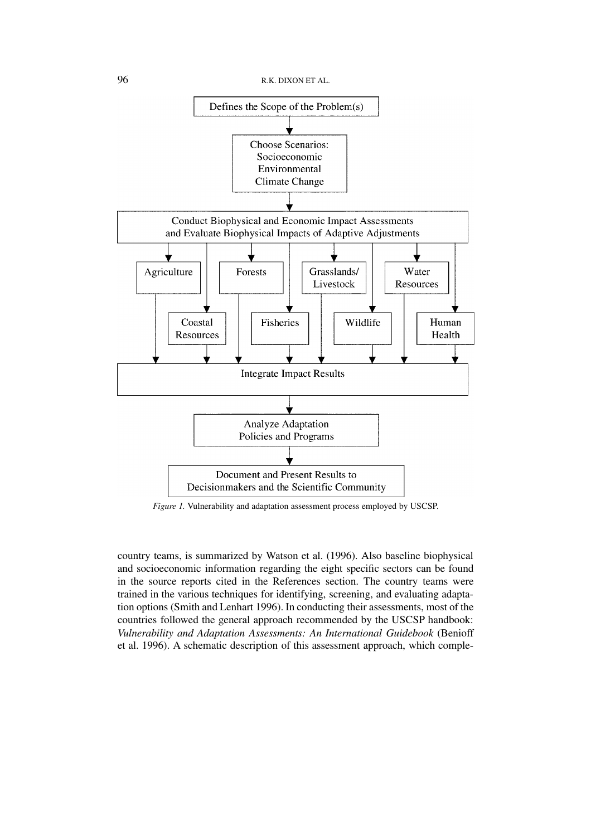

*Figure 1.* Vulnerability and adaptation assessment process employed by USCSP.

country teams, is summarized by Watson et al. (1996). Also baseline biophysical and socioeconomic information regarding the eight specific sectors can be found in the source reports cited in the References section. The country teams were trained in the various techniques for identifying, screening, and evaluating adaptation options (Smith and Lenhart 1996). In conducting their assessments, most of the countries followed the general approach recommended by the USCSP handbook: *Vulnerability and Adaptation Assessments: An International Guidebook* (Benioff et al. 1996). A schematic description of this assessment approach, which comple-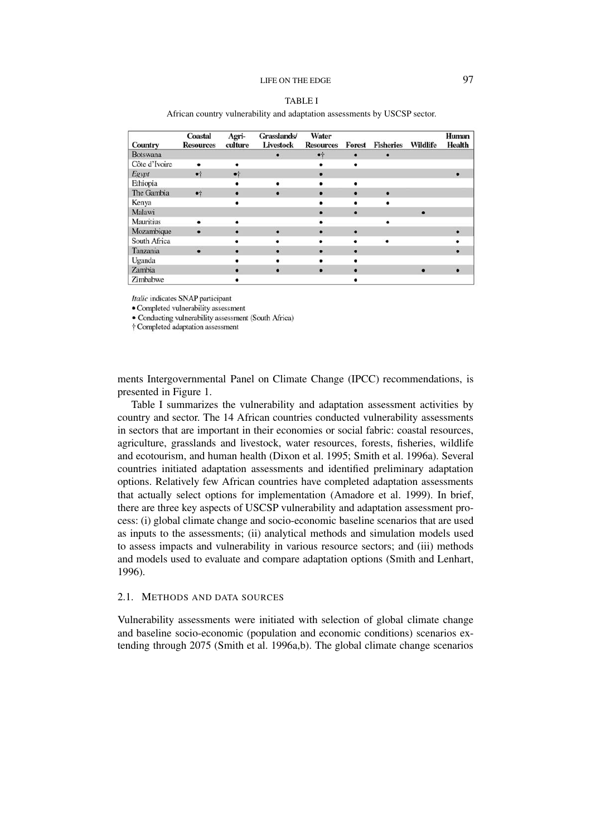#### TABLE I

#### African country vulnerability and adaptation assessments by USCSP sector.

| Country         | <b>Coastal</b><br><b>Resources</b> | Agri-<br>culture       | Grasslands/<br>Livestock | Water<br><b>Resources</b> | Forest    | <b>Fisheries</b> | Wildlife | Human<br><b>Health</b> |
|-----------------|------------------------------------|------------------------|--------------------------|---------------------------|-----------|------------------|----------|------------------------|
| <b>Botswana</b> |                                    |                        | $\bullet$                | $\bullet$ <sup>+</sup>    | $\bullet$ | $\bullet$        |          |                        |
| Côte d'Ivoire   |                                    | ٠                      |                          |                           |           |                  |          |                        |
| Egypt           | $\bullet$ <sup>+</sup>             | $\bullet$ <sup>1</sup> |                          |                           |           |                  |          |                        |
| Ethiopia        |                                    |                        |                          |                           |           |                  |          |                        |
| The Gambia      | $\bullet$ <sup>7</sup>             |                        | ٠                        |                           | $\bullet$ | ٠                |          |                        |
| Kenya           |                                    | ۰                      |                          | ٠                         | ٠         |                  |          |                        |
| Malawi          |                                    |                        |                          |                           | $\bullet$ |                  |          |                        |
| Mauritius       |                                    |                        |                          |                           |           |                  |          |                        |
| Mozambique      | $\bullet$                          | $\bullet$              | $\bullet$                | $\bullet$                 | $\bullet$ |                  |          |                        |
| South Africa    |                                    |                        |                          |                           |           |                  |          |                        |
| Tanzania        |                                    | ٠                      | ٠                        | $\bullet$                 | $\bullet$ |                  |          |                        |
| Uganda          |                                    |                        | ٠                        | ٠                         |           |                  |          |                        |
| Zambia          |                                    |                        | ٠                        | ٠                         |           |                  |          |                        |
| Zimbabwe        |                                    |                        |                          |                           |           |                  |          |                        |

Italic indicates SNAP participant

· Completed vulnerability assessment

• Conducting vulnerability assessment (South Africa)

† Completed adaptation assessment

ments Intergovernmental Panel on Climate Change (IPCC) recommendations, is presented in Figure 1.

Table I summarizes the vulnerability and adaptation assessment activities by country and sector. The 14 African countries conducted vulnerability assessments in sectors that are important in their economies or social fabric: coastal resources, agriculture, grasslands and livestock, water resources, forests, fisheries, wildlife and ecotourism, and human health (Dixon et al. 1995; Smith et al. 1996a). Several countries initiated adaptation assessments and identified preliminary adaptation options. Relatively few African countries have completed adaptation assessments that actually select options for implementation (Amadore et al. 1999). In brief, there are three key aspects of USCSP vulnerability and adaptation assessment process: (i) global climate change and socio-economic baseline scenarios that are used as inputs to the assessments; (ii) analytical methods and simulation models used to assess impacts and vulnerability in various resource sectors; and (iii) methods and models used to evaluate and compare adaptation options (Smith and Lenhart, 1996).

## 2.1. METHODS AND DATA SOURCES

Vulnerability assessments were initiated with selection of global climate change and baseline socio-economic (population and economic conditions) scenarios extending through 2075 (Smith et al. 1996a,b). The global climate change scenarios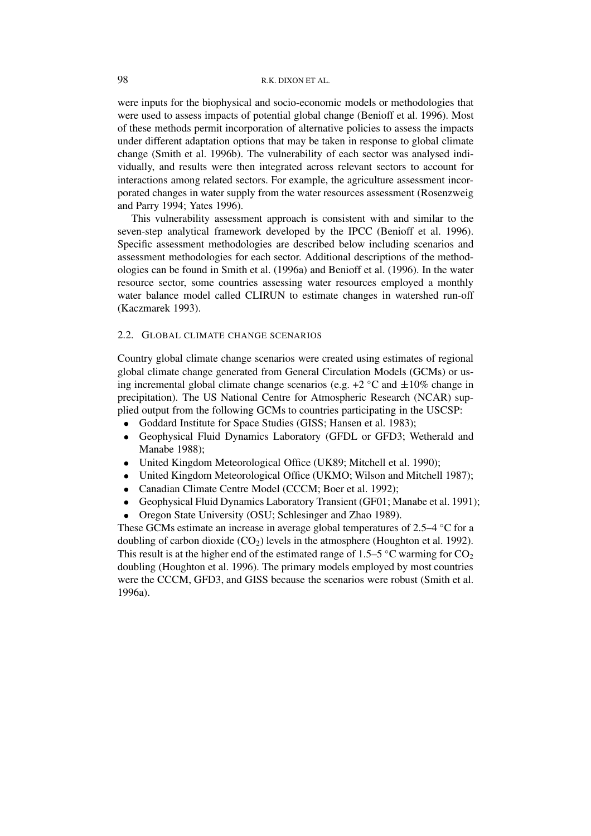# 98 R.K. DIXON ET AL.

were inputs for the biophysical and socio-economic models or methodologies that were used to assess impacts of potential global change (Benioff et al. 1996). Most of these methods permit incorporation of alternative policies to assess the impacts under different adaptation options that may be taken in response to global climate change (Smith et al. 1996b). The vulnerability of each sector was analysed individually, and results were then integrated across relevant sectors to account for interactions among related sectors. For example, the agriculture assessment incorporated changes in water supply from the water resources assessment (Rosenzweig and Parry 1994; Yates 1996).

This vulnerability assessment approach is consistent with and similar to the seven-step analytical framework developed by the IPCC (Benioff et al. 1996). Specific assessment methodologies are described below including scenarios and assessment methodologies for each sector. Additional descriptions of the methodologies can be found in Smith et al. (1996a) and Benioff et al. (1996). In the water resource sector, some countries assessing water resources employed a monthly water balance model called CLIRUN to estimate changes in watershed run-off (Kaczmarek 1993).

### 2.2. GLOBAL CLIMATE CHANGE SCENARIOS

Country global climate change scenarios were created using estimates of regional global climate change generated from General Circulation Models (GCMs) or using incremental global climate change scenarios (e.g.  $+2$  °C and  $\pm 10\%$  change in precipitation). The US National Centre for Atmospheric Research (NCAR) supplied output from the following GCMs to countries participating in the USCSP:

- Goddard Institute for Space Studies (GISS; Hansen et al. 1983);
- Geophysical Fluid Dynamics Laboratory (GFDL or GFD3; Wetherald and Manabe 1988);
- United Kingdom Meteorological Office (UK89; Mitchell et al. 1990);
- United Kingdom Meteorological Office (UKMO; Wilson and Mitchell 1987);
- Canadian Climate Centre Model (CCCM; Boer et al. 1992);
- Geophysical Fluid Dynamics Laboratory Transient (GF01; Manabe et al. 1991);
- Oregon State University (OSU; Schlesinger and Zhao 1989).

These GCMs estimate an increase in average global temperatures of 2.5–4 ◦C for a doubling of carbon dioxide  $(CO<sub>2</sub>)$  levels in the atmosphere (Houghton et al. 1992). This result is at the higher end of the estimated range of 1.5–5 °C warming for  $CO<sub>2</sub>$ doubling (Houghton et al. 1996). The primary models employed by most countries were the CCCM, GFD3, and GISS because the scenarios were robust (Smith et al. 1996a).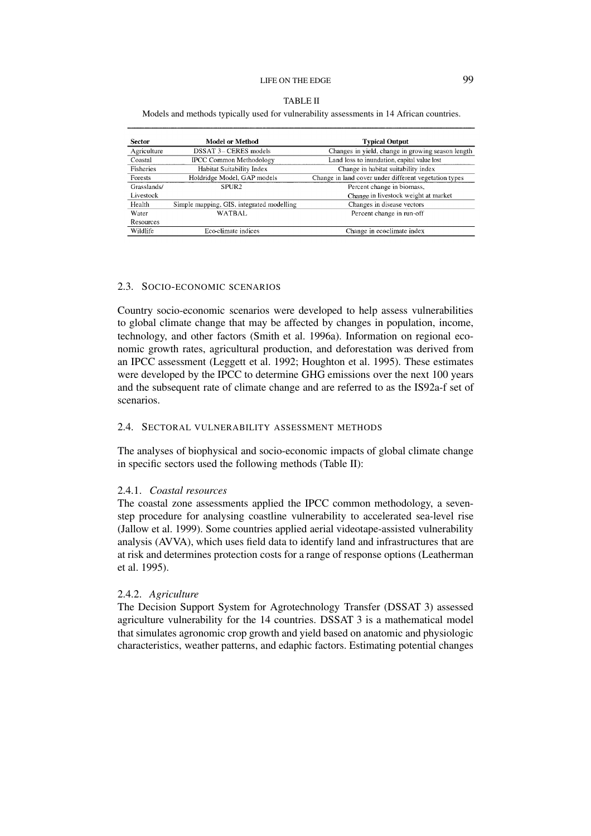#### TABLE II

Models and methods typically used for vulnerability assessments in 14 African countries.

| <b>Sector</b>  | <b>Model or Method</b>                    | <b>Typical Output</b>                                 |
|----------------|-------------------------------------------|-------------------------------------------------------|
| Agriculture    | DSSAT 3- CERES models                     | Changes in yield, change in growing season length     |
| Coastal        | <b>IPCC Common Methodology</b>            | Land loss to inundation, capital value lost           |
| Fisheries      | Habitat Suitability Index                 | Change in habitat suitability index                   |
| <b>Forests</b> | Holdridge Model, GAP models               | Change in land cover under different vegetation types |
| Grasslands/    | SPUR <sub>2</sub>                         | Percent change in biomass,                            |
| Livestock      |                                           | Change in livestock weight at market                  |
| Health         | Simple mapping, GIS, integrated modelling | Changes in disease vectors                            |
| Water          | WATRAL                                    | Percent change in run-off                             |
| Resources      |                                           |                                                       |
| Wildlife       | Eco-climate indices                       | Change in ecoclimate index                            |

# 2.3. SOCIO-ECONOMIC SCENARIOS

Country socio-economic scenarios were developed to help assess vulnerabilities to global climate change that may be affected by changes in population, income, technology, and other factors (Smith et al. 1996a). Information on regional economic growth rates, agricultural production, and deforestation was derived from an IPCC assessment (Leggett et al. 1992; Houghton et al. 1995). These estimates were developed by the IPCC to determine GHG emissions over the next 100 years and the subsequent rate of climate change and are referred to as the IS92a-f set of scenarios.

### 2.4. SECTORAL VULNERABILITY ASSESSMENT METHODS

The analyses of biophysical and socio-economic impacts of global climate change in specific sectors used the following methods (Table II):

#### 2.4.1. *Coastal resources*

The coastal zone assessments applied the IPCC common methodology, a sevenstep procedure for analysing coastline vulnerability to accelerated sea-level rise (Jallow et al. 1999). Some countries applied aerial videotape-assisted vulnerability analysis (AVVA), which uses field data to identify land and infrastructures that are at risk and determines protection costs for a range of response options (Leatherman et al. 1995).

### 2.4.2. *Agriculture*

The Decision Support System for Agrotechnology Transfer (DSSAT 3) assessed agriculture vulnerability for the 14 countries. DSSAT 3 is a mathematical model that simulates agronomic crop growth and yield based on anatomic and physiologic characteristics, weather patterns, and edaphic factors. Estimating potential changes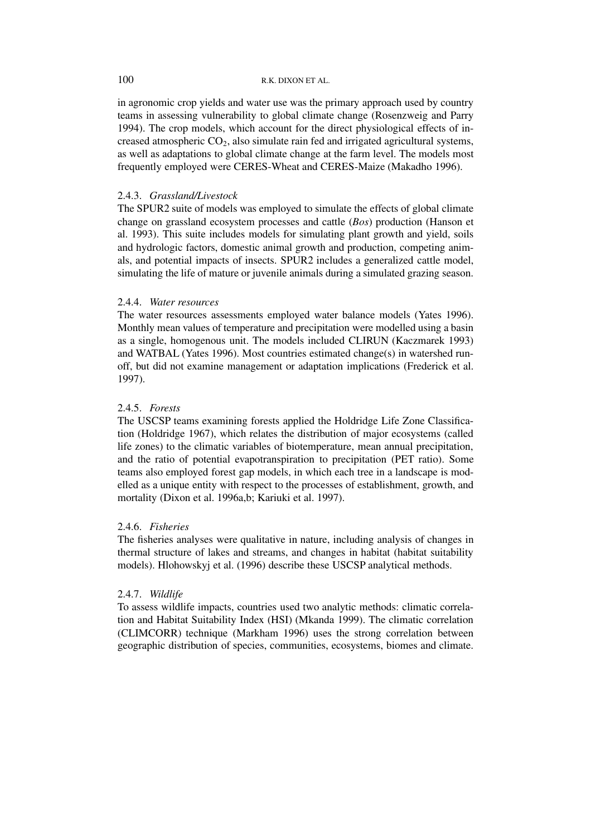in agronomic crop yields and water use was the primary approach used by country teams in assessing vulnerability to global climate change (Rosenzweig and Parry 1994). The crop models, which account for the direct physiological effects of increased atmospheric  $CO<sub>2</sub>$ , also simulate rain fed and irrigated agricultural systems, as well as adaptations to global climate change at the farm level. The models most frequently employed were CERES-Wheat and CERES-Maize (Makadho 1996).

### 2.4.3. *Grassland/Livestock*

The SPUR2 suite of models was employed to simulate the effects of global climate change on grassland ecosystem processes and cattle (*Bos*) production (Hanson et al. 1993). This suite includes models for simulating plant growth and yield, soils and hydrologic factors, domestic animal growth and production, competing animals, and potential impacts of insects. SPUR2 includes a generalized cattle model, simulating the life of mature or juvenile animals during a simulated grazing season.

# 2.4.4. *Water resources*

The water resources assessments employed water balance models (Yates 1996). Monthly mean values of temperature and precipitation were modelled using a basin as a single, homogenous unit. The models included CLIRUN (Kaczmarek 1993) and WATBAL (Yates 1996). Most countries estimated change(s) in watershed runoff, but did not examine management or adaptation implications (Frederick et al. 1997).

# 2.4.5. *Forests*

The USCSP teams examining forests applied the Holdridge Life Zone Classification (Holdridge 1967), which relates the distribution of major ecosystems (called life zones) to the climatic variables of biotemperature, mean annual precipitation, and the ratio of potential evapotranspiration to precipitation (PET ratio). Some teams also employed forest gap models, in which each tree in a landscape is modelled as a unique entity with respect to the processes of establishment, growth, and mortality (Dixon et al. 1996a,b; Kariuki et al. 1997).

# 2.4.6. *Fisheries*

The fisheries analyses were qualitative in nature, including analysis of changes in thermal structure of lakes and streams, and changes in habitat (habitat suitability models). Hlohowskyj et al. (1996) describe these USCSP analytical methods.

# 2.4.7. *Wildlife*

To assess wildlife impacts, countries used two analytic methods: climatic correlation and Habitat Suitability Index (HSI) (Mkanda 1999). The climatic correlation (CLIMCORR) technique (Markham 1996) uses the strong correlation between geographic distribution of species, communities, ecosystems, biomes and climate.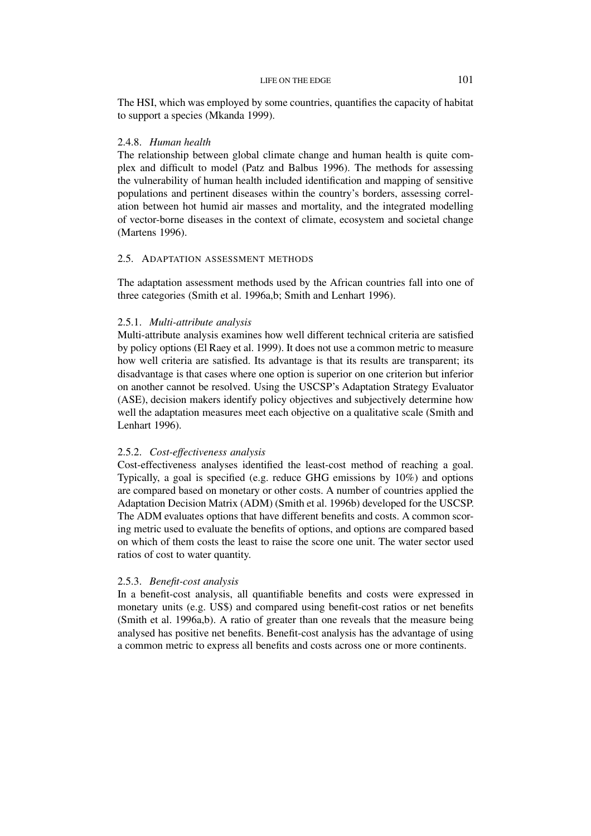The HSI, which was employed by some countries, quantifies the capacity of habitat to support a species (Mkanda 1999).

### 2.4.8. *Human health*

The relationship between global climate change and human health is quite complex and difficult to model (Patz and Balbus 1996). The methods for assessing the vulnerability of human health included identification and mapping of sensitive populations and pertinent diseases within the country's borders, assessing correlation between hot humid air masses and mortality, and the integrated modelling of vector-borne diseases in the context of climate, ecosystem and societal change (Martens 1996).

## 2.5. ADAPTATION ASSESSMENT METHODS

The adaptation assessment methods used by the African countries fall into one of three categories (Smith et al. 1996a,b; Smith and Lenhart 1996).

### 2.5.1. *Multi-attribute analysis*

Multi-attribute analysis examines how well different technical criteria are satisfied by policy options (El Raey et al. 1999). It does not use a common metric to measure how well criteria are satisfied. Its advantage is that its results are transparent; its disadvantage is that cases where one option is superior on one criterion but inferior on another cannot be resolved. Using the USCSP's Adaptation Strategy Evaluator (ASE), decision makers identify policy objectives and subjectively determine how well the adaptation measures meet each objective on a qualitative scale (Smith and Lenhart 1996).

# 2.5.2. *Cost-effectiveness analysis*

Cost-effectiveness analyses identified the least-cost method of reaching a goal. Typically, a goal is specified (e.g. reduce GHG emissions by 10%) and options are compared based on monetary or other costs. A number of countries applied the Adaptation Decision Matrix (ADM) (Smith et al. 1996b) developed for the USCSP. The ADM evaluates options that have different benefits and costs. A common scoring metric used to evaluate the benefits of options, and options are compared based on which of them costs the least to raise the score one unit. The water sector used ratios of cost to water quantity.

### 2.5.3. *Benefit-cost analysis*

In a benefit-cost analysis, all quantifiable benefits and costs were expressed in monetary units (e.g. US\$) and compared using benefit-cost ratios or net benefits (Smith et al. 1996a,b). A ratio of greater than one reveals that the measure being analysed has positive net benefits. Benefit-cost analysis has the advantage of using a common metric to express all benefits and costs across one or more continents.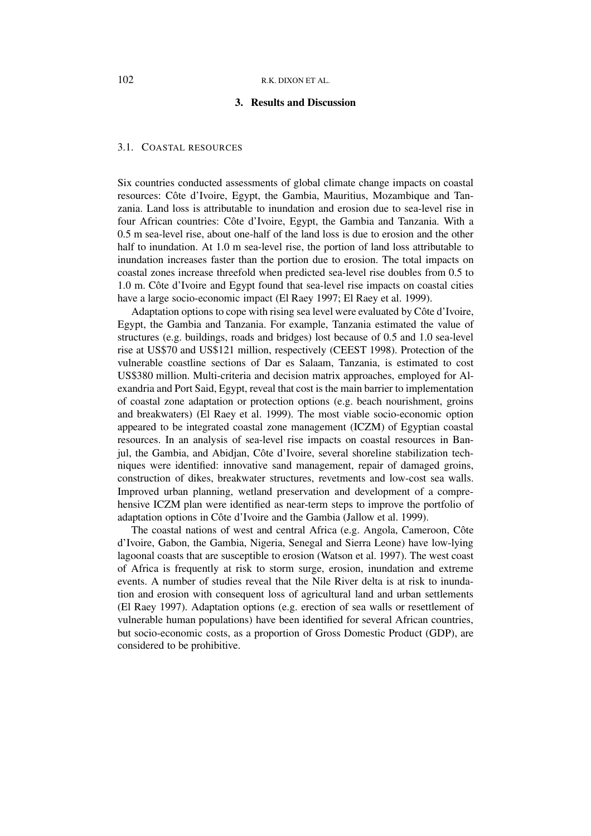# **3. Results and Discussion**

### 3.1. COASTAL RESOURCES

Six countries conducted assessments of global climate change impacts on coastal resources: Côte d'Ivoire, Egypt, the Gambia, Mauritius, Mozambique and Tanzania. Land loss is attributable to inundation and erosion due to sea-level rise in four African countries: Côte d'Ivoire, Egypt, the Gambia and Tanzania. With a 0.5 m sea-level rise, about one-half of the land loss is due to erosion and the other half to inundation. At 1.0 m sea-level rise, the portion of land loss attributable to inundation increases faster than the portion due to erosion. The total impacts on coastal zones increase threefold when predicted sea-level rise doubles from 0.5 to 1.0 m. Côte d'Ivoire and Egypt found that sea-level rise impacts on coastal cities have a large socio-economic impact (El Raey 1997; El Raey et al. 1999).

Adaptation options to cope with rising sea level were evaluated by Côte d'Ivoire, Egypt, the Gambia and Tanzania. For example, Tanzania estimated the value of structures (e.g. buildings, roads and bridges) lost because of 0.5 and 1.0 sea-level rise at US\$70 and US\$121 million, respectively (CEEST 1998). Protection of the vulnerable coastline sections of Dar es Salaam, Tanzania, is estimated to cost US\$380 million. Multi-criteria and decision matrix approaches, employed for Alexandria and Port Said, Egypt, reveal that cost is the main barrier to implementation of coastal zone adaptation or protection options (e.g. beach nourishment, groins and breakwaters) (El Raey et al. 1999). The most viable socio-economic option appeared to be integrated coastal zone management (ICZM) of Egyptian coastal resources. In an analysis of sea-level rise impacts on coastal resources in Banjul, the Gambia, and Abidjan, Côte d'Ivoire, several shoreline stabilization techniques were identified: innovative sand management, repair of damaged groins, construction of dikes, breakwater structures, revetments and low-cost sea walls. Improved urban planning, wetland preservation and development of a comprehensive ICZM plan were identified as near-term steps to improve the portfolio of adaptation options in Côte d'Ivoire and the Gambia (Jallow et al. 1999).

The coastal nations of west and central Africa (e.g. Angola, Cameroon, Côte d'Ivoire, Gabon, the Gambia, Nigeria, Senegal and Sierra Leone) have low-lying lagoonal coasts that are susceptible to erosion (Watson et al. 1997). The west coast of Africa is frequently at risk to storm surge, erosion, inundation and extreme events. A number of studies reveal that the Nile River delta is at risk to inundation and erosion with consequent loss of agricultural land and urban settlements (El Raey 1997). Adaptation options (e.g. erection of sea walls or resettlement of vulnerable human populations) have been identified for several African countries, but socio-economic costs, as a proportion of Gross Domestic Product (GDP), are considered to be prohibitive.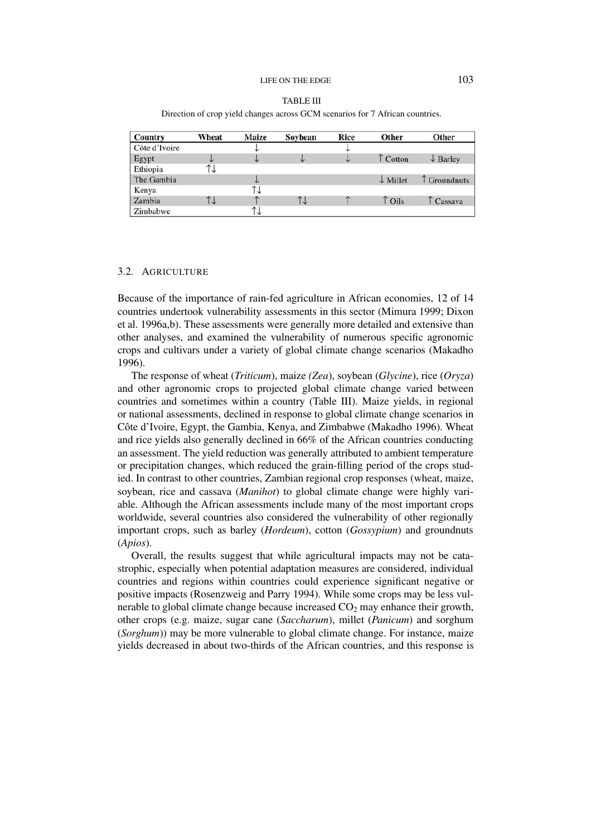#### TABLE III

Direction of crop yield changes across GCM scenarios for 7 African countries.

| <b>Country</b> | Wheat | <b>Maize</b> | Sovbean | Rice | Other               | Other               |
|----------------|-------|--------------|---------|------|---------------------|---------------------|
| Côte d'Ivoire  |       |              |         |      |                     |                     |
| Egypt          | J     | v            | ◡       |      | T Cotton            | $\downarrow$ Barley |
| Ethiopia       | TI    |              |         |      |                     |                     |
| The Gambia     |       | ÷            |         |      | $\downarrow$ Millet | T Groundnuts        |
| Kenya          |       | TJ           |         |      |                     |                     |
| Zambia         | TI    |              | TJ.     |      | ↑ Oils              | T Cassava           |
| Zimbabwe       |       | J            |         |      |                     |                     |

### 3.2. AGRICULTURE

Because of the importance of rain-fed agriculture in African economies, 12 of 14 countries undertook vulnerability assessments in this sector (Mimura 1999; Dixon et al. 1996a,b). These assessments were generally more detailed and extensive than other analyses, and examined the vulnerability of numerous specific agronomic crops and cultivars under a variety of global climate change scenarios (Makadho 1996).

The response of wheat (*Triticum*), maize *(Zea*), soybean (*Glycine*), rice (*Oryza*) and other agronomic crops to projected global climate change varied between countries and sometimes within a country (Table III). Maize yields, in regional or national assessments, declined in response to global climate change scenarios in Côte d'Ivoire, Egypt, the Gambia, Kenya, and Zimbabwe (Makadho 1996). Wheat and rice yields also generally declined in 66% of the African countries conducting an assessment. The yield reduction was generally attributed to ambient temperature or precipitation changes, which reduced the grain-filling period of the crops studied. In contrast to other countries, Zambian regional crop responses (wheat, maize, soybean, rice and cassava (*Manihot*) to global climate change were highly variable. Although the African assessments include many of the most important crops worldwide, several countries also considered the vulnerability of other regionally important crops, such as barley (*Hordeum*), cotton (*Gossypium*) and groundnuts (*Apios*).

Overall, the results suggest that while agricultural impacts may not be catastrophic, especially when potential adaptation measures are considered, individual countries and regions within countries could experience significant negative or positive impacts (Rosenzweig and Parry 1994). While some crops may be less vulnerable to global climate change because increased  $CO<sub>2</sub>$  may enhance their growth, other crops (e.g. maize, sugar cane (*Saccharum*), millet (*Panicum*) and sorghum (*Sorghum*)) may be more vulnerable to global climate change. For instance, maize yields decreased in about two-thirds of the African countries, and this response is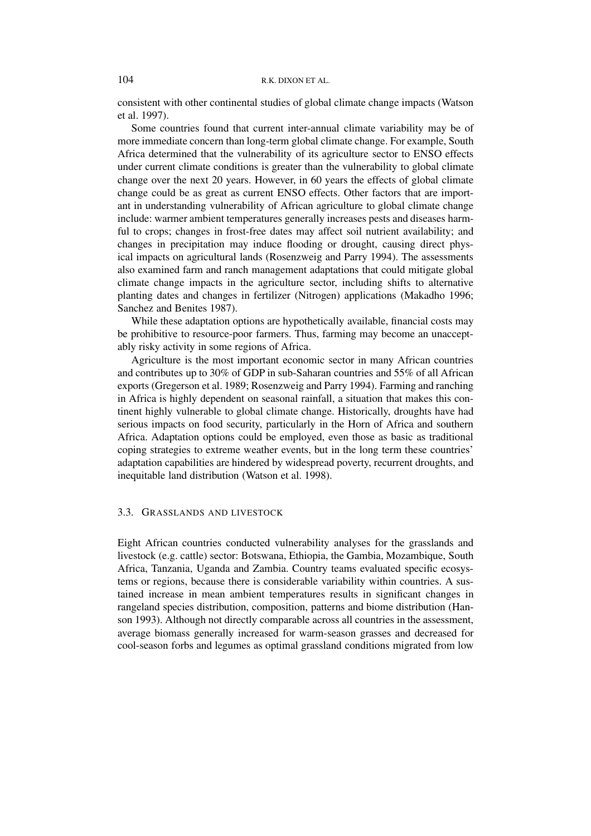#### 104 R.K. DIXON ET AL.

consistent with other continental studies of global climate change impacts (Watson et al. 1997).

Some countries found that current inter-annual climate variability may be of more immediate concern than long-term global climate change. For example, South Africa determined that the vulnerability of its agriculture sector to ENSO effects under current climate conditions is greater than the vulnerability to global climate change over the next 20 years. However, in 60 years the effects of global climate change could be as great as current ENSO effects. Other factors that are important in understanding vulnerability of African agriculture to global climate change include: warmer ambient temperatures generally increases pests and diseases harmful to crops; changes in frost-free dates may affect soil nutrient availability; and changes in precipitation may induce flooding or drought, causing direct physical impacts on agricultural lands (Rosenzweig and Parry 1994). The assessments also examined farm and ranch management adaptations that could mitigate global climate change impacts in the agriculture sector, including shifts to alternative planting dates and changes in fertilizer (Nitrogen) applications (Makadho 1996; Sanchez and Benites 1987).

While these adaptation options are hypothetically available, financial costs may be prohibitive to resource-poor farmers. Thus, farming may become an unacceptably risky activity in some regions of Africa.

Agriculture is the most important economic sector in many African countries and contributes up to 30% of GDP in sub-Saharan countries and 55% of all African exports (Gregerson et al. 1989; Rosenzweig and Parry 1994). Farming and ranching in Africa is highly dependent on seasonal rainfall, a situation that makes this continent highly vulnerable to global climate change. Historically, droughts have had serious impacts on food security, particularly in the Horn of Africa and southern Africa. Adaptation options could be employed, even those as basic as traditional coping strategies to extreme weather events, but in the long term these countries' adaptation capabilities are hindered by widespread poverty, recurrent droughts, and inequitable land distribution (Watson et al. 1998).

#### 3.3. GRASSLANDS AND LIVESTOCK

Eight African countries conducted vulnerability analyses for the grasslands and livestock (e.g. cattle) sector: Botswana, Ethiopia, the Gambia, Mozambique, South Africa, Tanzania, Uganda and Zambia. Country teams evaluated specific ecosystems or regions, because there is considerable variability within countries. A sustained increase in mean ambient temperatures results in significant changes in rangeland species distribution, composition, patterns and biome distribution (Hanson 1993). Although not directly comparable across all countries in the assessment, average biomass generally increased for warm-season grasses and decreased for cool-season forbs and legumes as optimal grassland conditions migrated from low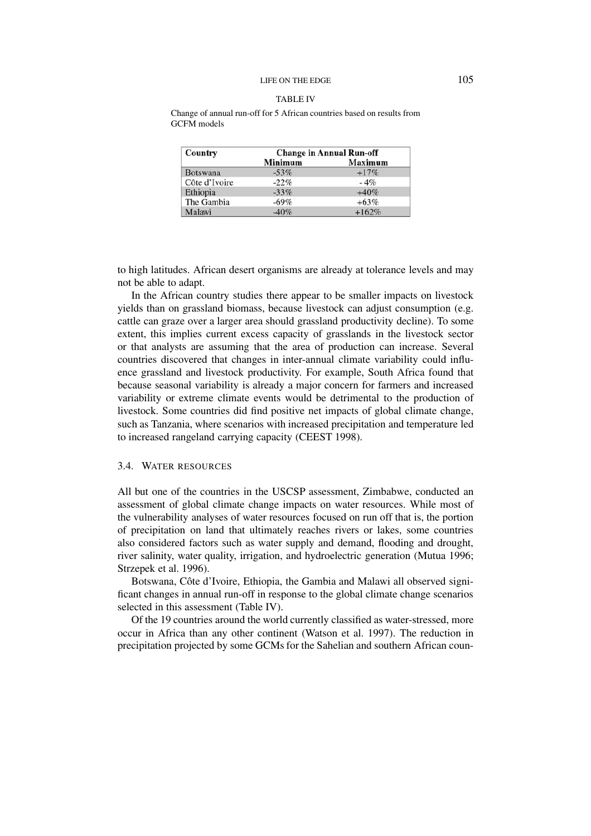#### TABLE IV

Change of annual run-off for 5 African countries based on results from GCFM models

| <b>Country</b>  | <b>Change in Annual Run-off</b> |                |  |  |
|-----------------|---------------------------------|----------------|--|--|
|                 | <b>Minimum</b>                  | <b>Maximum</b> |  |  |
| <b>Botswana</b> | $-53%$                          | $+17%$         |  |  |
| Côte d'Ivoire   | $-22%$                          | $-4%$          |  |  |
| Ethiopia        | $-33%$                          | $+40%$         |  |  |
| The Gambia      | $-69%$                          | $+63%$         |  |  |
| Malawi          | $-40%$                          | $+162%$        |  |  |

to high latitudes. African desert organisms are already at tolerance levels and may not be able to adapt.

In the African country studies there appear to be smaller impacts on livestock yields than on grassland biomass, because livestock can adjust consumption (e.g. cattle can graze over a larger area should grassland productivity decline). To some extent, this implies current excess capacity of grasslands in the livestock sector or that analysts are assuming that the area of production can increase. Several countries discovered that changes in inter-annual climate variability could influence grassland and livestock productivity. For example, South Africa found that because seasonal variability is already a major concern for farmers and increased variability or extreme climate events would be detrimental to the production of livestock. Some countries did find positive net impacts of global climate change, such as Tanzania, where scenarios with increased precipitation and temperature led to increased rangeland carrying capacity (CEEST 1998).

# 3.4. WATER RESOURCES

All but one of the countries in the USCSP assessment, Zimbabwe, conducted an assessment of global climate change impacts on water resources. While most of the vulnerability analyses of water resources focused on run off that is, the portion of precipitation on land that ultimately reaches rivers or lakes, some countries also considered factors such as water supply and demand, flooding and drought, river salinity, water quality, irrigation, and hydroelectric generation (Mutua 1996; Strzepek et al. 1996).

Botswana, Côte d'Ivoire, Ethiopia, the Gambia and Malawi all observed significant changes in annual run-off in response to the global climate change scenarios selected in this assessment (Table IV).

Of the 19 countries around the world currently classified as water-stressed, more occur in Africa than any other continent (Watson et al. 1997). The reduction in precipitation projected by some GCMs for the Sahelian and southern African coun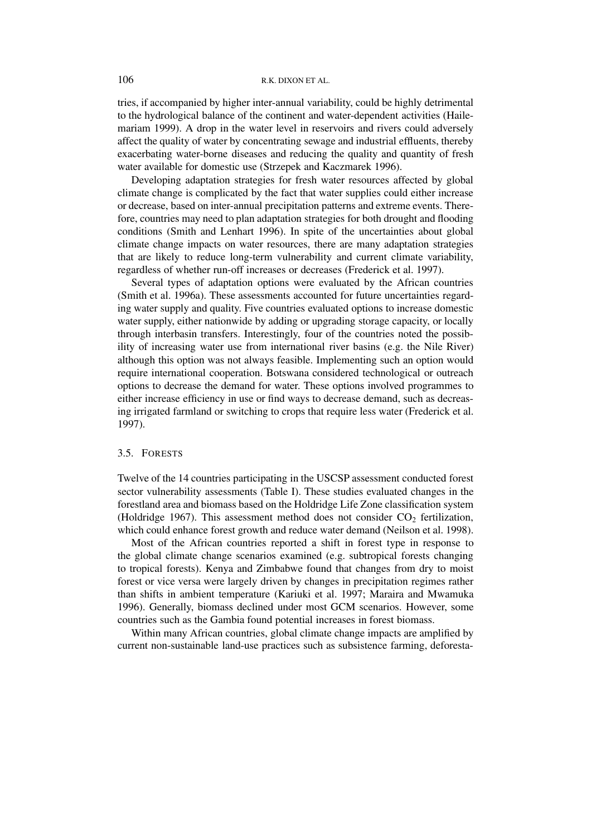tries, if accompanied by higher inter-annual variability, could be highly detrimental to the hydrological balance of the continent and water-dependent activities (Hailemariam 1999). A drop in the water level in reservoirs and rivers could adversely affect the quality of water by concentrating sewage and industrial effluents, thereby exacerbating water-borne diseases and reducing the quality and quantity of fresh water available for domestic use (Strzepek and Kaczmarek 1996).

Developing adaptation strategies for fresh water resources affected by global climate change is complicated by the fact that water supplies could either increase or decrease, based on inter-annual precipitation patterns and extreme events. Therefore, countries may need to plan adaptation strategies for both drought and flooding conditions (Smith and Lenhart 1996). In spite of the uncertainties about global climate change impacts on water resources, there are many adaptation strategies that are likely to reduce long-term vulnerability and current climate variability, regardless of whether run-off increases or decreases (Frederick et al. 1997).

Several types of adaptation options were evaluated by the African countries (Smith et al. 1996a). These assessments accounted for future uncertainties regarding water supply and quality. Five countries evaluated options to increase domestic water supply, either nationwide by adding or upgrading storage capacity, or locally through interbasin transfers. Interestingly, four of the countries noted the possibility of increasing water use from international river basins (e.g. the Nile River) although this option was not always feasible. Implementing such an option would require international cooperation. Botswana considered technological or outreach options to decrease the demand for water. These options involved programmes to either increase efficiency in use or find ways to decrease demand, such as decreasing irrigated farmland or switching to crops that require less water (Frederick et al. 1997).

#### 3.5. FORESTS

Twelve of the 14 countries participating in the USCSP assessment conducted forest sector vulnerability assessments (Table I). These studies evaluated changes in the forestland area and biomass based on the Holdridge Life Zone classification system (Holdridge 1967). This assessment method does not consider  $CO<sub>2</sub>$  fertilization, which could enhance forest growth and reduce water demand (Neilson et al. 1998).

Most of the African countries reported a shift in forest type in response to the global climate change scenarios examined (e.g. subtropical forests changing to tropical forests). Kenya and Zimbabwe found that changes from dry to moist forest or vice versa were largely driven by changes in precipitation regimes rather than shifts in ambient temperature (Kariuki et al. 1997; Maraira and Mwamuka 1996). Generally, biomass declined under most GCM scenarios. However, some countries such as the Gambia found potential increases in forest biomass.

Within many African countries, global climate change impacts are amplified by current non-sustainable land-use practices such as subsistence farming, deforesta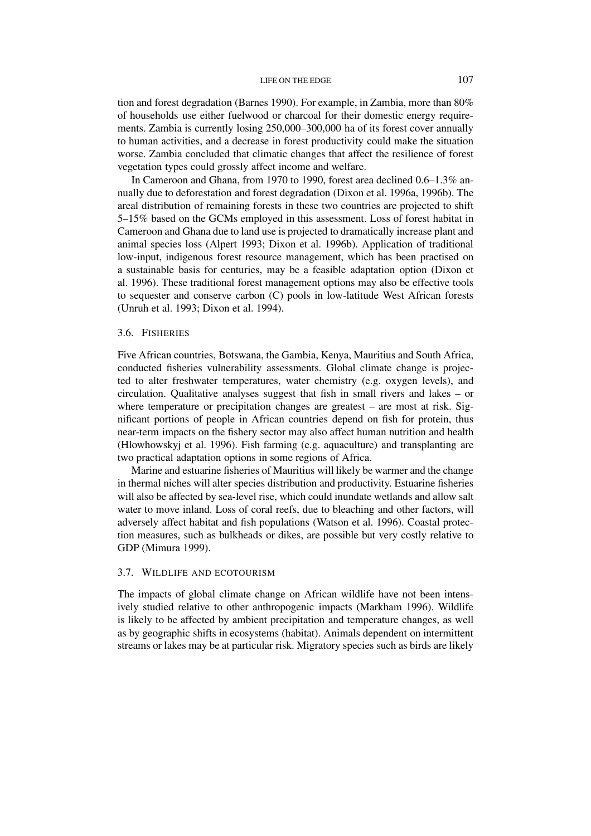tion and forest degradation (Barnes 1990). For example, in Zambia, more than 80% of households use either fuelwood or charcoal for their domestic energy requirements. Zambia is currently losing 250,000–300,000 ha of its forest cover annually to human activities, and a decrease in forest productivity could make the situation worse. Zambia concluded that climatic changes that affect the resilience of forest vegetation types could grossly affect income and welfare.

In Cameroon and Ghana, from 1970 to 1990, forest area declined 0.6–1.3% annually due to deforestation and forest degradation (Dixon et al. 1996a, 1996b). The areal distribution of remaining forests in these two countries are projected to shift 5–15% based on the GCMs employed in this assessment. Loss of forest habitat in Cameroon and Ghana due to land use is projected to dramatically increase plant and animal species loss (Alpert 1993; Dixon et al. 1996b). Application of traditional low-input, indigenous forest resource management, which has been practised on a sustainable basis for centuries, may be a feasible adaptation option (Dixon et al. 1996). These traditional forest management options may also be effective tools to sequester and conserve carbon (C) pools in low-latitude West African forests (Unruh et al. 1993; Dixon et al. 1994).

### 3.6. FISHERIES

Five African countries, Botswana, the Gambia, Kenya, Mauritius and South Africa, conducted fisheries vulnerability assessments. Global climate change is projected to alter freshwater temperatures, water chemistry (e.g. oxygen levels), and circulation. Qualitative analyses suggest that fish in small rivers and lakes – or where temperature or precipitation changes are greatest – are most at risk. Significant portions of people in African countries depend on fish for protein, thus near-term impacts on the fishery sector may also affect human nutrition and health (Hlowhowskyj et al. 1996). Fish farming (e.g. aquaculture) and transplanting are two practical adaptation options in some regions of Africa.

Marine and estuarine fisheries of Mauritius will likely be warmer and the change in thermal niches will alter species distribution and productivity. Estuarine fisheries will also be affected by sea-level rise, which could inundate wetlands and allow salt water to move inland. Loss of coral reefs, due to bleaching and other factors, will adversely affect habitat and fish populations (Watson et al. 1996). Coastal protection measures, such as bulkheads or dikes, are possible but very costly relative to GDP (Mimura 1999).

## 3.7. WILDLIFE AND ECOTOURISM

The impacts of global climate change on African wildlife have not been intensively studied relative to other anthropogenic impacts (Markham 1996). Wildlife is likely to be affected by ambient precipitation and temperature changes, as well as by geographic shifts in ecosystems (habitat). Animals dependent on intermittent streams or lakes may be at particular risk. Migratory species such as birds are likely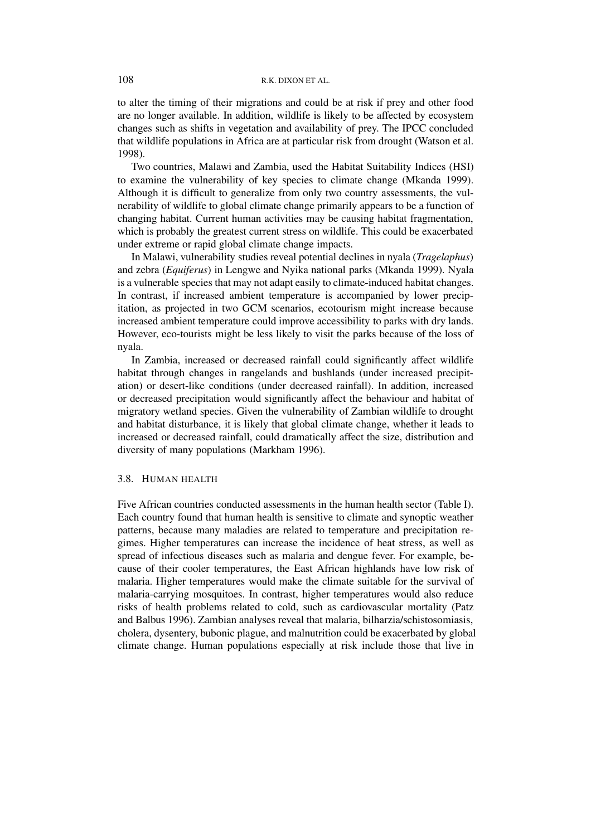to alter the timing of their migrations and could be at risk if prey and other food are no longer available. In addition, wildlife is likely to be affected by ecosystem changes such as shifts in vegetation and availability of prey. The IPCC concluded that wildlife populations in Africa are at particular risk from drought (Watson et al. 1998).

Two countries, Malawi and Zambia, used the Habitat Suitability Indices (HSI) to examine the vulnerability of key species to climate change (Mkanda 1999). Although it is difficult to generalize from only two country assessments, the vulnerability of wildlife to global climate change primarily appears to be a function of changing habitat. Current human activities may be causing habitat fragmentation, which is probably the greatest current stress on wildlife. This could be exacerbated under extreme or rapid global climate change impacts.

In Malawi, vulnerability studies reveal potential declines in nyala (*Tragelaphus*) and zebra (*Equiferus*) in Lengwe and Nyika national parks (Mkanda 1999). Nyala is a vulnerable species that may not adapt easily to climate-induced habitat changes. In contrast, if increased ambient temperature is accompanied by lower precipitation, as projected in two GCM scenarios, ecotourism might increase because increased ambient temperature could improve accessibility to parks with dry lands. However, eco-tourists might be less likely to visit the parks because of the loss of nyala.

In Zambia, increased or decreased rainfall could significantly affect wildlife habitat through changes in rangelands and bushlands (under increased precipitation) or desert-like conditions (under decreased rainfall). In addition, increased or decreased precipitation would significantly affect the behaviour and habitat of migratory wetland species. Given the vulnerability of Zambian wildlife to drought and habitat disturbance, it is likely that global climate change, whether it leads to increased or decreased rainfall, could dramatically affect the size, distribution and diversity of many populations (Markham 1996).

#### 3.8. HUMAN HEALTH

Five African countries conducted assessments in the human health sector (Table I). Each country found that human health is sensitive to climate and synoptic weather patterns, because many maladies are related to temperature and precipitation regimes. Higher temperatures can increase the incidence of heat stress, as well as spread of infectious diseases such as malaria and dengue fever. For example, because of their cooler temperatures, the East African highlands have low risk of malaria. Higher temperatures would make the climate suitable for the survival of malaria-carrying mosquitoes. In contrast, higher temperatures would also reduce risks of health problems related to cold, such as cardiovascular mortality (Patz and Balbus 1996). Zambian analyses reveal that malaria, bilharzia/schistosomiasis, cholera, dysentery, bubonic plague, and malnutrition could be exacerbated by global climate change. Human populations especially at risk include those that live in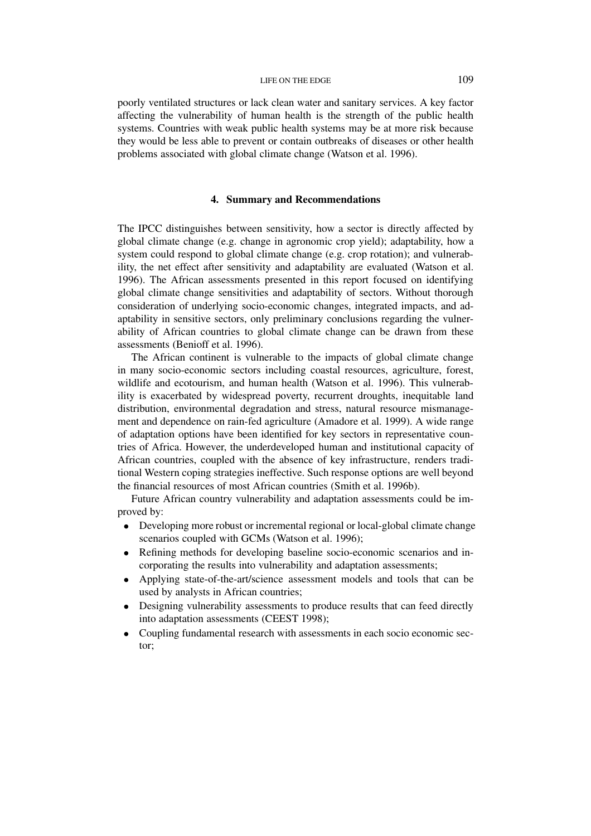poorly ventilated structures or lack clean water and sanitary services. A key factor affecting the vulnerability of human health is the strength of the public health systems. Countries with weak public health systems may be at more risk because they would be less able to prevent or contain outbreaks of diseases or other health problems associated with global climate change (Watson et al. 1996).

# **4. Summary and Recommendations**

The IPCC distinguishes between sensitivity, how a sector is directly affected by global climate change (e.g. change in agronomic crop yield); adaptability, how a system could respond to global climate change (e.g. crop rotation); and vulnerability, the net effect after sensitivity and adaptability are evaluated (Watson et al. 1996). The African assessments presented in this report focused on identifying global climate change sensitivities and adaptability of sectors. Without thorough consideration of underlying socio-economic changes, integrated impacts, and adaptability in sensitive sectors, only preliminary conclusions regarding the vulnerability of African countries to global climate change can be drawn from these assessments (Benioff et al. 1996).

The African continent is vulnerable to the impacts of global climate change in many socio-economic sectors including coastal resources, agriculture, forest, wildlife and ecotourism, and human health (Watson et al. 1996). This vulnerability is exacerbated by widespread poverty, recurrent droughts, inequitable land distribution, environmental degradation and stress, natural resource mismanagement and dependence on rain-fed agriculture (Amadore et al. 1999). A wide range of adaptation options have been identified for key sectors in representative countries of Africa. However, the underdeveloped human and institutional capacity of African countries, coupled with the absence of key infrastructure, renders traditional Western coping strategies ineffective. Such response options are well beyond the financial resources of most African countries (Smith et al. 1996b).

Future African country vulnerability and adaptation assessments could be improved by:

- Developing more robust or incremental regional or local-global climate change scenarios coupled with GCMs (Watson et al. 1996);
- Refining methods for developing baseline socio-economic scenarios and incorporating the results into vulnerability and adaptation assessments;
- Applying state-of-the-art/science assessment models and tools that can be used by analysts in African countries;
- Designing vulnerability assessments to produce results that can feed directly into adaptation assessments (CEEST 1998);
- Coupling fundamental research with assessments in each socio economic sector;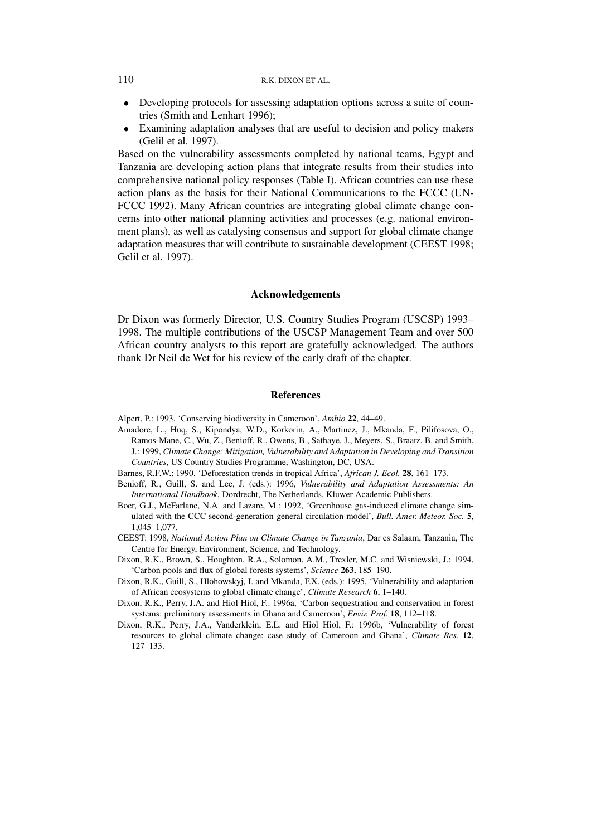#### 110 R.K. DIXON ET AL.

- Developing protocols for assessing adaptation options across a suite of countries (Smith and Lenhart 1996);
- Examining adaptation analyses that are useful to decision and policy makers (Gelil et al. 1997).

Based on the vulnerability assessments completed by national teams, Egypt and Tanzania are developing action plans that integrate results from their studies into comprehensive national policy responses (Table I). African countries can use these action plans as the basis for their National Communications to the FCCC (UN-FCCC 1992). Many African countries are integrating global climate change concerns into other national planning activities and processes (e.g. national environment plans), as well as catalysing consensus and support for global climate change adaptation measures that will contribute to sustainable development (CEEST 1998; Gelil et al. 1997).

### **Acknowledgements**

Dr Dixon was formerly Director, U.S. Country Studies Program (USCSP) 1993– 1998. The multiple contributions of the USCSP Management Team and over 500 African country analysts to this report are gratefully acknowledged. The authors thank Dr Neil de Wet for his review of the early draft of the chapter.

### **References**

Alpert, P.: 1993, 'Conserving biodiversity in Cameroon', *Ambio* **22**, 44–49.

Amadore, L., Huq, S., Kipondya, W.D., Korkorin, A., Martinez, J., Mkanda, F., Pilifosova, O., Ramos-Mane, C., Wu, Z., Benioff, R., Owens, B., Sathaye, J., Meyers, S., Braatz, B. and Smith, J.: 1999, *Climate Change: Mitigation, Vulnerability and Adaptation in Developing and Transition Countries*, US Country Studies Programme, Washington, DC, USA.

Barnes, R.F.W.: 1990, 'Deforestation trends in tropical Africa', *African J. Ecol.* **28**, 161–173.

- Benioff, R., Guill, S. and Lee, J. (eds.): 1996, *Vulnerability and Adaptation Assessments: An International Handbook*, Dordrecht, The Netherlands, Kluwer Academic Publishers.
- Boer, G.J., McFarlane, N.A. and Lazare, M.: 1992, 'Greenhouse gas-induced climate change simulated with the CCC second-generation general circulation model', *Bull. Amer. Meteor. Soc.* **5**, 1,045–1,077.
- CEEST: 1998, *National Action Plan on Climate Change in Tanzania*, Dar es Salaam, Tanzania, The Centre for Energy, Environment, Science, and Technology.
- Dixon, R.K., Brown, S., Houghton, R.A., Solomon, A.M., Trexler, M.C. and Wisniewski, J.: 1994, 'Carbon pools and flux of global forests systems', *Science* **263**, 185–190.
- Dixon, R.K., Guill, S., Hlohowskyj, I. and Mkanda, F.X. (eds.): 1995, 'Vulnerability and adaptation of African ecosystems to global climate change', *Climate Research* **6**, 1–140.
- Dixon, R.K., Perry, J.A. and Hiol Hiol, F.: 1996a, 'Carbon sequestration and conservation in forest systems: preliminary assessments in Ghana and Cameroon', *Envir. Prof.* **18**, 112–118.
- Dixon, R.K., Perry, J.A., Vanderklein, E.L. and Hiol Hiol, F.: 1996b, 'Vulnerability of forest resources to global climate change: case study of Cameroon and Ghana', *Climate Res.* **12**, 127–133.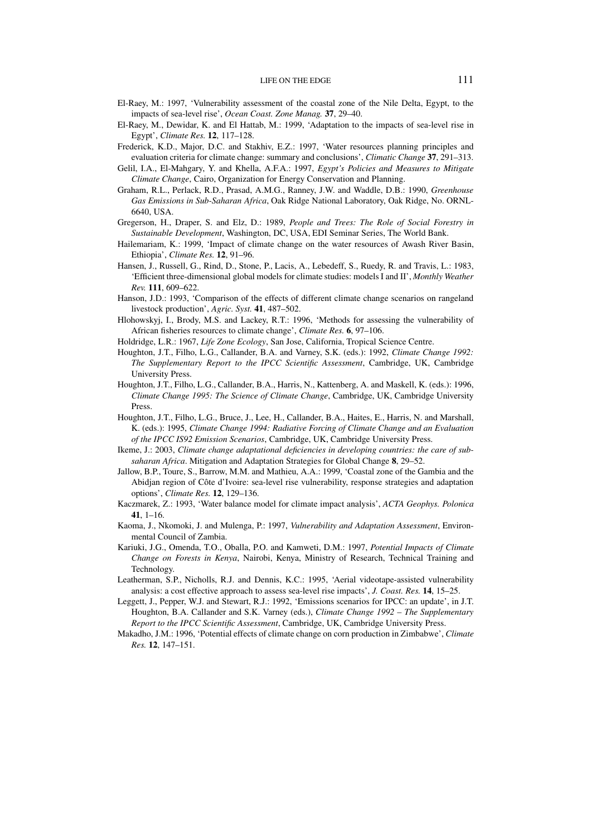- El-Raey, M.: 1997, 'Vulnerability assessment of the coastal zone of the Nile Delta, Egypt, to the impacts of sea-level rise', *Ocean Coast. Zone Manag.* **37**, 29–40.
- El-Raey, M., Dewidar, K. and El Hattab, M.: 1999, 'Adaptation to the impacts of sea-level rise in Egypt', *Climate Res.* **12**, 117–128.
- Frederick, K.D., Major, D.C. and Stakhiv, E.Z.: 1997, 'Water resources planning principles and evaluation criteria for climate change: summary and conclusions', *Climatic Change* **37**, 291–313.
- Gelil, I.A., El-Mahgary, Y. and Khella, A.F.A.: 1997, *Egypt's Policies and Measures to Mitigate Climate Change*, Cairo, Organization for Energy Conservation and Planning.
- Graham, R.L., Perlack, R.D., Prasad, A.M.G., Ranney, J.W. and Waddle, D.B.: 1990, *Greenhouse Gas Emissions in Sub-Saharan Africa*, Oak Ridge National Laboratory, Oak Ridge, No. ORNL-6640, USA.
- Gregerson, H., Draper, S. and Elz, D.: 1989, *People and Trees: The Role of Social Forestry in Sustainable Development*, Washington, DC, USA, EDI Seminar Series, The World Bank.
- Hailemariam, K.: 1999, 'Impact of climate change on the water resources of Awash River Basin, Ethiopia', *Climate Res.* **12**, 91–96.
- Hansen, J., Russell, G., Rind, D., Stone, P., Lacis, A., Lebedeff, S., Ruedy, R. and Travis, L.: 1983, 'Efficient three-dimensional global models for climate studies: models I and II', *Monthly Weather Rev.* **111**, 609–622.
- Hanson, J.D.: 1993, 'Comparison of the effects of different climate change scenarios on rangeland livestock production', *Agric. Syst.* **41**, 487–502.
- Hlohowskyj, I., Brody, M.S. and Lackey, R.T.: 1996, 'Methods for assessing the vulnerability of African fisheries resources to climate change', *Climate Res.* **6**, 97–106.
- Holdridge, L.R.: 1967, *Life Zone Ecology*, San Jose, California, Tropical Science Centre.
- Houghton, J.T., Filho, L.G., Callander, B.A. and Varney, S.K. (eds.): 1992, *Climate Change 1992: The Supplementary Report to the IPCC Scientific Assessment*, Cambridge, UK, Cambridge University Press.
- Houghton, J.T., Filho, L.G., Callander, B.A., Harris, N., Kattenberg, A. and Maskell, K. (eds.): 1996, *Climate Change 1995: The Science of Climate Change*, Cambridge, UK, Cambridge University Press.
- Houghton, J.T., Filho, L.G., Bruce, J., Lee, H., Callander, B.A., Haites, E., Harris, N. and Marshall, K. (eds.): 1995, *Climate Change 1994: Radiative Forcing of Climate Change and an Evaluation of the IPCC IS92 Emission Scenarios*, Cambridge, UK, Cambridge University Press.
- Ikeme, J.: 2003, *Climate change adaptational deficiencies in developing countries: the care of subsaharan Africa*. Mitigation and Adaptation Strategies for Global Change **8**, 29–52.
- Jallow, B.P., Toure, S., Barrow, M.M. and Mathieu, A.A.: 1999, 'Coastal zone of the Gambia and the Abidjan region of Côte d'Ivoire: sea-level rise vulnerability, response strategies and adaptation options', *Climate Res.* **12**, 129–136.
- Kaczmarek, Z.: 1993, 'Water balance model for climate impact analysis', *ACTA Geophys. Polonica* **41**, 1–16.
- Kaoma, J., Nkomoki, J. and Mulenga, P.: 1997, *Vulnerability and Adaptation Assessment*, Environmental Council of Zambia.
- Kariuki, J.G., Omenda, T.O., Oballa, P.O. and Kamweti, D.M.: 1997, *Potential Impacts of Climate Change on Forests in Kenya*, Nairobi, Kenya, Ministry of Research, Technical Training and Technology.
- Leatherman, S.P., Nicholls, R.J. and Dennis, K.C.: 1995, 'Aerial videotape-assisted vulnerability analysis: a cost effective approach to assess sea-level rise impacts', *J. Coast. Res.* **14**, 15–25.
- Leggett, J., Pepper, W.J. and Stewart, R.J.: 1992, 'Emissions scenarios for IPCC: an update', in J.T. Houghton, B.A. Callander and S.K. Varney (eds.), *Climate Change 1992 – The Supplementary Report to the IPCC Scientific Assessment*, Cambridge, UK, Cambridge University Press.
- Makadho, J.M.: 1996, 'Potential effects of climate change on corn production in Zimbabwe', *Climate Res.* **12**, 147–151.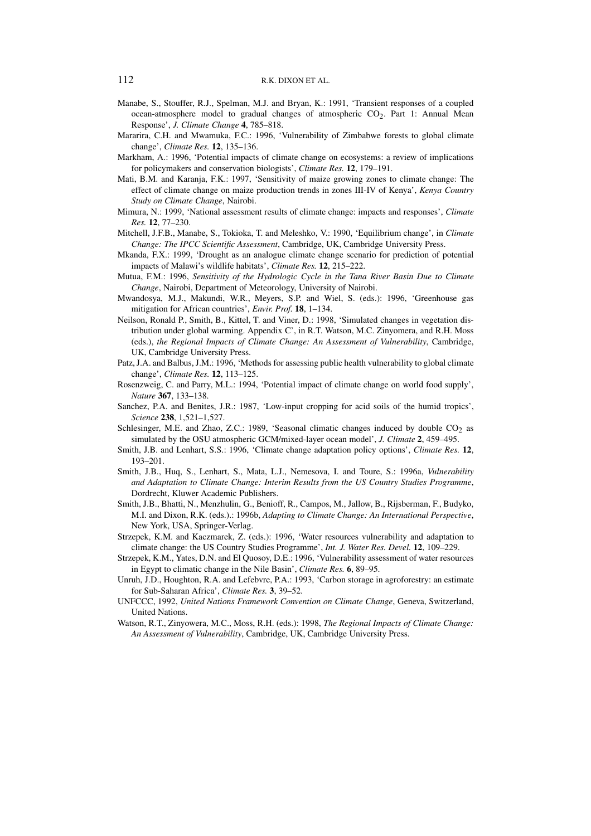- Manabe, S., Stouffer, R.J., Spelman, M.J. and Bryan, K.: 1991, 'Transient responses of a coupled ocean-atmosphere model to gradual changes of atmospheric  $CO<sub>2</sub>$ . Part 1: Annual Mean Response', *J. Climate Change* **4**, 785–818.
- Mararira, C.H. and Mwamuka, F.C.: 1996, 'Vulnerability of Zimbabwe forests to global climate change', *Climate Res.* **12**, 135–136.
- Markham, A.: 1996, 'Potential impacts of climate change on ecosystems: a review of implications for policymakers and conservation biologists', *Climate Res.* **12**, 179–191.
- Mati, B.M. and Karanja, F.K.: 1997, 'Sensitivity of maize growing zones to climate change: The effect of climate change on maize production trends in zones III-IV of Kenya', *Kenya Country Study on Climate Change*, Nairobi.
- Mimura, N.: 1999, 'National assessment results of climate change: impacts and responses', *Climate Res.* **12**, 77–230.
- Mitchell, J.F.B., Manabe, S., Tokioka, T. and Meleshko, V.: 1990, 'Equilibrium change', in *Climate Change: The IPCC Scientific Assessment*, Cambridge, UK, Cambridge University Press.
- Mkanda, F.X.: 1999, 'Drought as an analogue climate change scenario for prediction of potential impacts of Malawi's wildlife habitats', *Climate Res.* **12**, 215–222.
- Mutua, F.M.: 1996, *Sensitivity of the Hydrologic Cycle in the Tana River Basin Due to Climate Change*, Nairobi, Department of Meteorology, University of Nairobi.
- Mwandosya, M.J., Makundi, W.R., Meyers, S.P. and Wiel, S. (eds.): 1996, 'Greenhouse gas mitigation for African countries', *Envir. Prof.* **18**, 1–134.
- Neilson, Ronald P., Smith, B., Kittel, T. and Viner, D.: 1998, 'Simulated changes in vegetation distribution under global warming. Appendix C', in R.T. Watson, M.C. Zinyomera, and R.H. Moss (eds.), *the Regional Impacts of Climate Change: An Assessment of Vulnerability*, Cambridge, UK, Cambridge University Press.
- Patz, J.A. and Balbus, J.M.: 1996, 'Methods for assessing public health vulnerability to global climate change', *Climate Res.* **12**, 113–125.
- Rosenzweig, C. and Parry, M.L.: 1994, 'Potential impact of climate change on world food supply', *Nature* **367**, 133–138.
- Sanchez, P.A. and Benites, J.R.: 1987, 'Low-input cropping for acid soils of the humid tropics', *Science* **238**, 1,521–1,527.
- Schlesinger, M.E. and Zhao, Z.C.: 1989, 'Seasonal climatic changes induced by double  $CO<sub>2</sub>$  as simulated by the OSU atmospheric GCM/mixed-layer ocean model', *J. Climate* **2**, 459–495.
- Smith, J.B. and Lenhart, S.S.: 1996, 'Climate change adaptation policy options', *Climate Res.* **12**, 193–201.
- Smith, J.B., Huq, S., Lenhart, S., Mata, L.J., Nemesova, I. and Toure, S.: 1996a, *Vulnerability and Adaptation to Climate Change: Interim Results from the US Country Studies Programme*, Dordrecht, Kluwer Academic Publishers.
- Smith, J.B., Bhatti, N., Menzhulin, G., Benioff, R., Campos, M., Jallow, B., Rijsberman, F., Budyko, M.I. and Dixon, R.K. (eds.).: 1996b, *Adapting to Climate Change: An International Perspective*, New York, USA, Springer-Verlag.
- Strzepek, K.M. and Kaczmarek, Z. (eds.): 1996, 'Water resources vulnerability and adaptation to climate change: the US Country Studies Programme', *Int. J. Water Res. Devel.* **12**, 109–229.
- Strzepek, K.M., Yates, D.N. and El Quosoy, D.E.: 1996, 'Vulnerability assessment of water resources in Egypt to climatic change in the Nile Basin', *Climate Res.* **6**, 89–95.
- Unruh, J.D., Houghton, R.A. and Lefebvre, P.A.: 1993, 'Carbon storage in agroforestry: an estimate for Sub-Saharan Africa', *Climate Res.* **3**, 39–52.
- UNFCCC, 1992, *United Nations Framework Convention on Climate Change*, Geneva, Switzerland, United Nations.
- Watson, R.T., Zinyowera, M.C., Moss, R.H. (eds.): 1998, *The Regional Impacts of Climate Change: An Assessment of Vulnerability*, Cambridge, UK, Cambridge University Press.